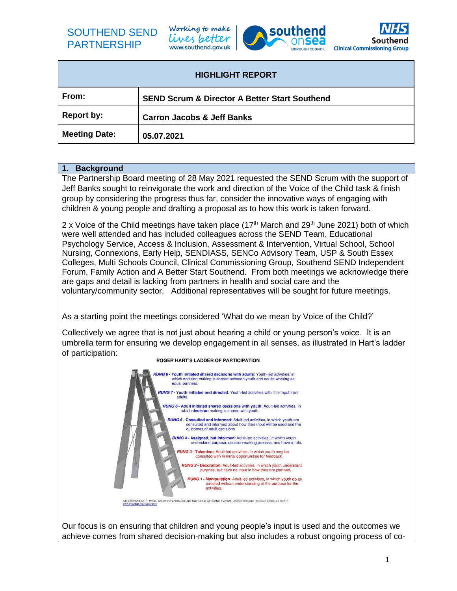Working to make lives better www.southend.gov.uk





| <b>HIGHLIGHT REPORT</b> |                                                          |
|-------------------------|----------------------------------------------------------|
| From:                   | <b>SEND Scrum &amp; Director A Better Start Southend</b> |
| <b>Report by:</b>       | <b>Carron Jacobs &amp; Jeff Banks</b>                    |
| <b>Meeting Date:</b>    | 05.07.2021                                               |

#### **1. Background**

The Partnership Board meeting of 28 May 2021 requested the SEND Scrum with the support of Jeff Banks sought to reinvigorate the work and direction of the Voice of the Child task & finish group by considering the progress thus far, consider the innovative ways of engaging with children & young people and drafting a proposal as to how this work is taken forward.

2 x Voice of the Child meetings have taken place ( $17<sup>th</sup>$  March and  $29<sup>th</sup>$  June 2021) both of which were well attended and has included colleagues across the SEND Team, Educational Psychology Service, Access & Inclusion, Assessment & Intervention, Virtual School, School Nursing, Connexions, Early Help, SENDIASS, SENCo Advisory Team, USP & South Essex Colleges, Multi Schools Council, Clinical Commissioning Group, Southend SEND Independent Forum, Family Action and A Better Start Southend. From both meetings we acknowledge there are gaps and detail is lacking from partners in health and social care and the voluntary/community sector. Additional representatives will be sought for future meetings.

As a starting point the meetings considered 'What do we mean by Voice of the Child?'

Collectively we agree that is not just about hearing a child or young person's voice. It is an umbrella term for ensuring we develop engagement in all senses, as illustrated in Hart's ladder of participation:



#### ROGER HART'S LADDER OF PARTICIPATION

Our focus is on ensuring that children and young people's input is used and the outcomes we achieve comes from shared decision-making but also includes a robust ongoing process of co-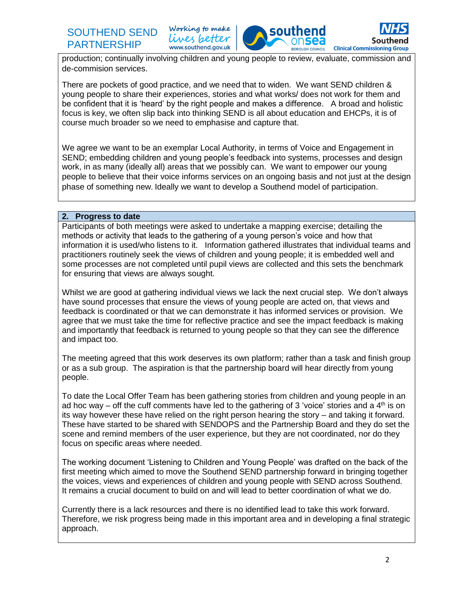Working to make lives better www.southend.gov.uk



production; continually involving children and young people to review, evaluate, commission and de-commision services.

There are pockets of good practice, and we need that to widen. We want SEND children & young people to share their experiences, stories and what works/ does not work for them and be confident that it is 'heard' by the right people and makes a difference. A broad and holistic focus is key, we often slip back into thinking SEND is all about education and EHCPs, it is of course much broader so we need to emphasise and capture that.

We agree we want to be an exemplar Local Authority, in terms of Voice and Engagement in SEND; embedding children and young people's feedback into systems, processes and design work, in as many (ideally all) areas that we possibly can. We want to empower our young people to believe that their voice informs services on an ongoing basis and not just at the design phase of something new. Ideally we want to develop a Southend model of participation.

#### **2. Progress to date**

Participants of both meetings were asked to undertake a mapping exercise; detailing the methods or activity that leads to the gathering of a young person's voice and how that information it is used/who listens to it. Information gathered illustrates that individual teams and practitioners routinely seek the views of children and young people; it is embedded well and some processes are not completed until pupil views are collected and this sets the benchmark for ensuring that views are always sought.

Whilst we are good at gathering individual views we lack the next crucial step. We don't always have sound processes that ensure the views of young people are acted on, that views and feedback is coordinated or that we can demonstrate it has informed services or provision. We agree that we must take the time for reflective practice and see the impact feedback is making and importantly that feedback is returned to young people so that they can see the difference and impact too.

The meeting agreed that this work deserves its own platform; rather than a task and finish group or as a sub group. The aspiration is that the partnership board will hear directly from young people.

To date the Local Offer Team has been gathering stories from children and young people in an ad hoc way – off the cuff comments have led to the gathering of 3 'voice' stories and a  $4<sup>th</sup>$  is on its way however these have relied on the right person hearing the story – and taking it forward. These have started to be shared with SENDOPS and the Partnership Board and they do set the scene and remind members of the user experience, but they are not coordinated, nor do they focus on specific areas where needed.

The working document 'Listening to Children and Young People' was drafted on the back of the first meeting which aimed to move the Southend SEND partnership forward in bringing together the voices, views and experiences of children and young people with SEND across Southend. It remains a crucial document to build on and will lead to better coordination of what we do.

Currently there is a lack resources and there is no identified lead to take this work forward. Therefore, we risk progress being made in this important area and in developing a final strategic approach.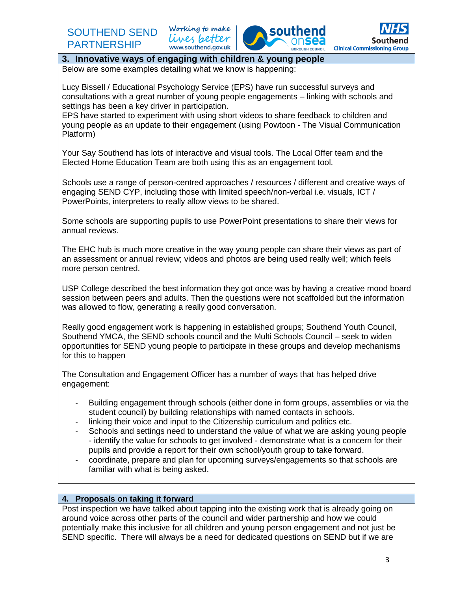Working to make lives better www.southend.gov.uk





### **3. Innovative ways of engaging with children & young people**

Below are some examples detailing what we know is happening:

Lucy Bissell / Educational Psychology Service (EPS) have run successful surveys and consultations with a great number of young people engagements – linking with schools and settings has been a key driver in participation.

EPS have started to experiment with using short videos to share feedback to children and young people as an update to their engagement (using Powtoon - The Visual Communication Platform)

Your Say Southend has lots of interactive and visual tools. The Local Offer team and the Elected Home Education Team are both using this as an engagement tool.

Schools use a range of person-centred approaches / resources / different and creative ways of engaging SEND CYP, including those with limited speech/non-verbal i.e. visuals, ICT / PowerPoints, interpreters to really allow views to be shared.

Some schools are supporting pupils to use PowerPoint presentations to share their views for annual reviews.

The EHC hub is much more creative in the way young people can share their views as part of an assessment or annual review; videos and photos are being used really well; which feels more person centred.

USP College described the best information they got once was by having a creative mood board session between peers and adults. Then the questions were not scaffolded but the information was allowed to flow, generating a really good conversation.

Really good engagement work is happening in established groups; Southend Youth Council, Southend YMCA, the SEND schools council and the Multi Schools Council – seek to widen opportunities for SEND young people to participate in these groups and develop mechanisms for this to happen

The Consultation and Engagement Officer has a number of ways that has helped drive engagement:

- Building engagement through schools (either done in form groups, assemblies or via the student council) by building relationships with named contacts in schools.
- linking their voice and input to the Citizenship curriculum and politics etc.
- Schools and settings need to understand the value of what we are asking young people - identify the value for schools to get involved - demonstrate what is a concern for their pupils and provide a report for their own school/youth group to take forward.
- coordinate, prepare and plan for upcoming surveys/engagements so that schools are familiar with what is being asked.

#### **4. Proposals on taking it forward**

Post inspection we have talked about tapping into the existing work that is already going on around voice across other parts of the council and wider partnership and how we could potentially make this inclusive for all children and young person engagement and not just be SEND specific. There will always be a need for dedicated questions on SEND but if we are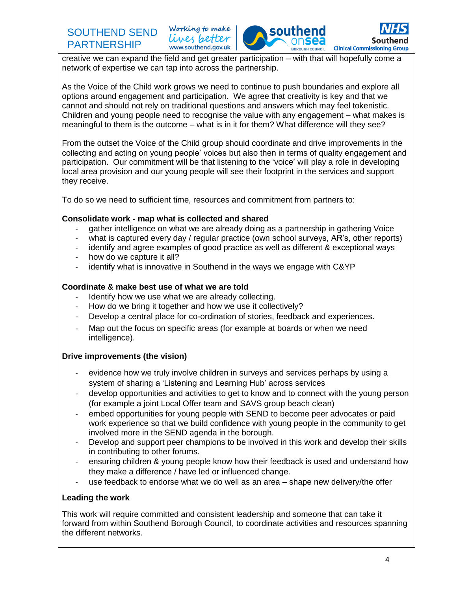**SOU Clinical Commissioning Group BOROUGH COUNCIL** 

creative we can expand the field and get greater participation – with that will hopefully come a network of expertise we can tap into across the partnership.

Working to make

lives better www.southend.gov.uk

As the Voice of the Child work grows we need to continue to push boundaries and explore all options around engagement and participation. We agree that creativity is key and that we cannot and should not rely on traditional questions and answers which may feel tokenistic. Children and young people need to recognise the value with any engagement – what makes is meaningful to them is the outcome – what is in it for them? What difference will they see?

From the outset the Voice of the Child group should coordinate and drive improvements in the collecting and acting on young people' voices but also then in terms of quality engagement and participation. Our commitment will be that listening to the 'voice' will play a role in developing local area provision and our young people will see their footprint in the services and support they receive.

To do so we need to sufficient time, resources and commitment from partners to:

#### **Consolidate work - map what is collected and shared**

- gather intelligence on what we are already doing as a partnership in gathering Voice
- what is captured every day / regular practice (own school surveys, AR's, other reports)
- identify and agree examples of good practice as well as different & exceptional ways
- how do we capture it all?
- identify what is innovative in Southend in the ways we engage with C&YP

#### **Coordinate & make best use of what we are told**

- Identify how we use what we are already collecting.
- How do we bring it together and how we use it collectively?
- Develop a central place for co-ordination of stories, feedback and experiences.
- Map out the focus on specific areas (for example at boards or when we need intelligence).

### **Drive improvements (the vision)**

- evidence how we truly involve children in surveys and services perhaps by using a system of sharing a 'Listening and Learning Hub' across services
- develop opportunities and activities to get to know and to connect with the young person (for example a joint Local Offer team and SAVS group beach clean)
- embed opportunities for young people with SEND to become peer advocates or paid work experience so that we build confidence with young people in the community to get involved more in the SEND agenda in the borough.
- Develop and support peer champions to be involved in this work and develop their skills in contributing to other forums.
- ensuring children & young people know how their feedback is used and understand how they make a difference / have led or influenced change.
- use feedback to endorse what we do well as an area shape new delivery/the offer

#### **Leading the work**

This work will require committed and consistent leadership and someone that can take it forward from within Southend Borough Council, to coordinate activities and resources spanning the different networks.